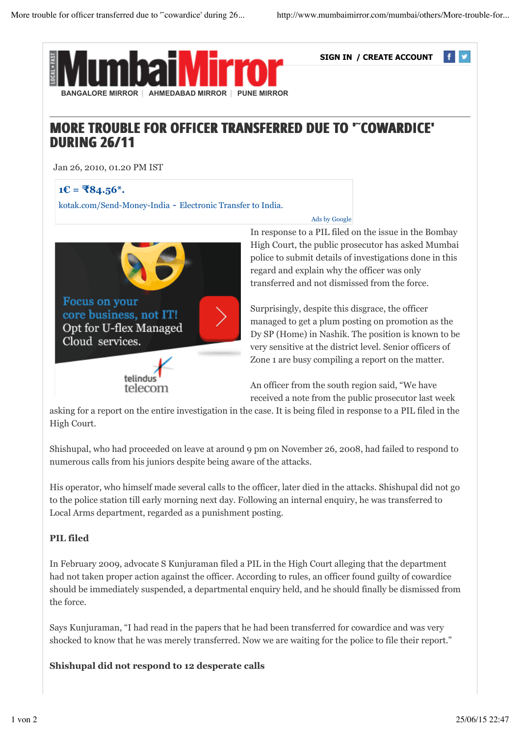

**SIGN IN / CREATE ACCOUNT**



## MORE TROUBLE FOR OFFICER TRANSFERRED DUE TO '**˜**COWARDICE' DURING 26/11

Jan 26, 2010, 01.20 PM IST

 $1 \epsilon = \text{\textsterling}84.56^*$ .

kotak.com/Send-Money-India - Electronic Transfer to India.



## Ads by Google

In response to a PIL filed on the issue in the Bombay High Court, the public prosecutor has asked Mumbai police to submit details of investigations done in this regard and explain why the officer was only transferred and not dismissed from the force.

Surprisingly, despite this disgrace, the officer managed to get a plum posting on promotion as the Dy SP (Home) in Nashik. The position is known to be very sensitive at the district level. Senior officers of Zone 1 are busy compiling a report on the matter.

An officer from the south region said, "We have received a note from the public prosecutor last week

asking for a report on the entire investigation in the case. It is being filed in response to a PIL filed in the High Court.

Shishupal, who had proceeded on leave at around 9 pm on November 26, 2008, had failed to respond to numerous calls from his juniors despite being aware of the attacks.

His operator, who himself made several calls to the officer, later died in the attacks. Shishupal did not go to the police station till early morning next day. Following an internal enquiry, he was transferred to Local Arms department, regarded as a punishment posting.

## **PIL filed**

In February 2009, advocate S Kunjuraman filed a PIL in the High Court alleging that the department had not taken proper action against the officer. According to rules, an officer found guilty of cowardice should be immediately suspended, a departmental enquiry held, and he should finally be dismissed from the force.

Says Kunjuraman, "I had read in the papers that he had been transferred for cowardice and was very shocked to know that he was merely transferred. Now we are waiting for the police to file their report."

**Shishupal did not respond to 12 desperate calls**